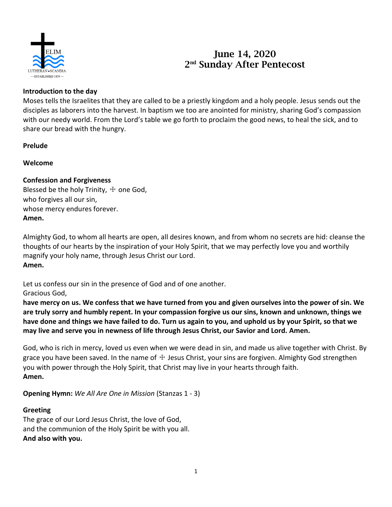

# **June 14, 2020 2 nd Sunday After Pentecost**

## **Introduction to the day**

Moses tells the Israelites that they are called to be a priestly kingdom and a holy people. Jesus sends out the disciples as laborers into the harvest. In baptism we too are anointed for ministry, sharing God's compassion with our needy world. From the Lord's table we go forth to proclaim the good news, to heal the sick, and to share our bread with the hungry.

## **Prelude**

## **Welcome**

# **Confession and Forgiveness**

Blessed be the holy Trinity,  $\pm$  one God, who forgives all our sin, whose mercy endures forever. **Amen.**

Almighty God, to whom all hearts are open, all desires known, and from whom no secrets are hid: cleanse the thoughts of our hearts by the inspiration of your Holy Spirit, that we may perfectly love you and worthily magnify your holy name, through Jesus Christ our Lord. **Amen.**

Let us confess our sin in the presence of God and of one another. Gracious God,

**have mercy on us. We confess that we have turned from you and given ourselves into the power of sin. We are truly sorry and humbly repent. In your compassion forgive us our sins, known and unknown, things we have done and things we have failed to do. Turn us again to you, and uphold us by your Spirit, so that we may live and serve you in newness of life through Jesus Christ, our Savior and Lord. Amen.**

God, who is rich in mercy, loved us even when we were dead in sin, and made us alive together with Christ. By grace you have been saved. In the name of  $\pm$  Jesus Christ, your sins are forgiven. Almighty God strengthen you with power through the Holy Spirit, that Christ may live in your hearts through faith. **Amen.**

**Opening Hymn:** *We All Are One in Mission* (Stanzas 1 - 3)

## **Greeting**

The grace of our Lord Jesus Christ, the love of God, and the communion of the Holy Spirit be with you all. **And also with you.**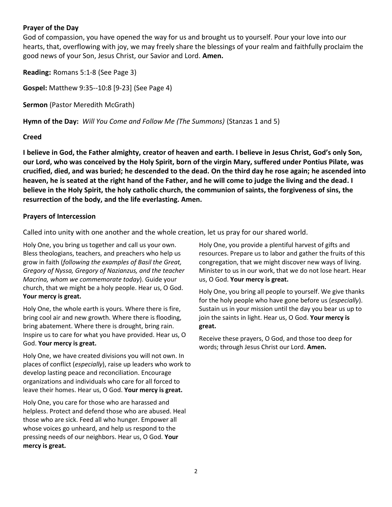## **Prayer of the Day**

God of compassion, you have opened the way for us and brought us to yourself. Pour your love into our hearts, that, overflowing with joy, we may freely share the blessings of your realm and faithfully proclaim the good news of your Son, Jesus Christ, our Savior and Lord. **Amen.**

**Reading:** Romans 5:1-8 (See Page 3)

**Gospel:** Matthew 9:35--10:8 [9-23] (See Page 4)

**Sermon** (Pastor Meredith McGrath)

**Hymn of the Day:** *Will You Come and Follow Me (The Summons)* (Stanzas 1 and 5)

#### **Creed**

**I believe in God, the Father almighty, creator of heaven and earth. I believe in Jesus Christ, God's only Son, our Lord, who was conceived by the Holy Spirit, born of the virgin Mary, suffered under Pontius Pilate, was crucified, died, and was buried; he descended to the dead. On the third day he rose again; he ascended into heaven, he is seated at the right hand of the Father, and he will come to judge the living and the dead. I believe in the Holy Spirit, the holy catholic church, the communion of saints, the forgiveness of sins, the resurrection of the body, and the life everlasting. Amen.**

## **Prayers of Intercession**

Called into unity with one another and the whole creation, let us pray for our shared world.

Holy One, you bring us together and call us your own. Bless theologians, teachers, and preachers who help us grow in faith (*following the examples of Basil the Great, Gregory of Nyssa, Gregory of Nazianzus, and the teacher Macrina, whom we commemorate today*). Guide your church, that we might be a holy people. Hear us, O God. **Your mercy is great.**

Holy One, the whole earth is yours. Where there is fire, bring cool air and new growth. Where there is flooding, bring abatement. Where there is drought, bring rain. Inspire us to care for what you have provided. Hear us, O God. **Your mercy is great.**

Holy One, we have created divisions you will not own. In places of conflict (*especially*), raise up leaders who work to develop lasting peace and reconciliation. Encourage organizations and individuals who care for all forced to leave their homes. Hear us, O God. **Your mercy is great.**

Holy One, you care for those who are harassed and helpless. Protect and defend those who are abused. Heal those who are sick. Feed all who hunger. Empower all whose voices go unheard, and help us respond to the pressing needs of our neighbors. Hear us, O God. **Your mercy is great.**

Holy One, you provide a plentiful harvest of gifts and resources. Prepare us to labor and gather the fruits of this congregation, that we might discover new ways of living. Minister to us in our work, that we do not lose heart. Hear us, O God. **Your mercy is great.**

Holy One, you bring all people to yourself. We give thanks for the holy people who have gone before us (*especially*). Sustain us in your mission until the day you bear us up to join the saints in light. Hear us, O God. **Your mercy is great.**

Receive these prayers, O God, and those too deep for words; through Jesus Christ our Lord. **Amen.**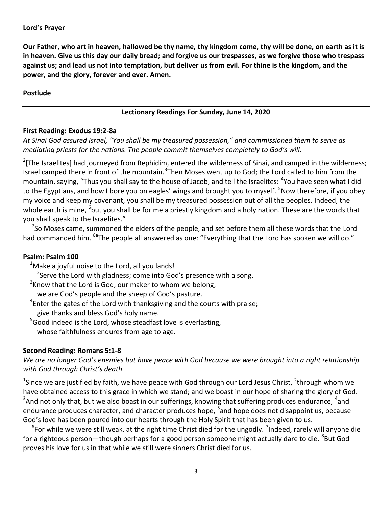**Our Father, who art in heaven, hallowed be thy name, thy kingdom come, thy will be done, on earth as it is in heaven. Give us this day our daily bread; and forgive us our trespasses, as we forgive those who trespass against us; and lead us not into temptation, but deliver us from evil. For thine is the kingdom, and the power, and the glory, forever and ever. Amen.**

## **Postlude**

## **Lectionary Readings For Sunday, June 14, 2020**

## **First Reading: Exodus 19:2-8a**

*At Sinai God assured Israel, "You shall be my treasured possession," and commissioned them to serve as mediating priests for the nations. The people commit themselves completely to God's will.*

 $2$ [The Israelites] had journeyed from Rephidim, entered the wilderness of Sinai, and camped in the wilderness; Israel camped there in front of the mountain.<sup>3</sup>Then Moses went up to God; the Lord called to him from the mountain, saying, "Thus you shall say to the house of Jacob, and tell the Israelites: <sup>4</sup>You have seen what I did to the Egyptians, and how I bore you on eagles' wings and brought you to myself. <sup>5</sup>Now therefore, if you obey my voice and keep my covenant, you shall be my treasured possession out of all the peoples. Indeed, the whole earth is mine, <sup>6</sup>but you shall be for me a priestly kingdom and a holy nation. These are the words that you shall speak to the Israelites."

 $^7$ So Moses came, summoned the elders of the people, and set before them all these words that the Lord had commanded him. <sup>8a</sup>The people all answered as one: "Everything that the Lord has spoken we will do."

## **Psalm: Psalm 100**

- $1$ Make a joyful noise to the Lord, all you lands!
- <sup>2</sup>Serve the Lord with gladness; come into God's presence with a song.
- $3$ Know that the Lord is God, our maker to whom we belong;
- we are God's people and the sheep of God's pasture.
- ${}^{4}$ Enter the gates of the Lord with thanksgiving and the courts with praise; give thanks and bless God's holy name.
- $5$ Good indeed is the Lord, whose steadfast love is everlasting, whose faithfulness endures from age to age.

## **Second Reading: Romans 5:1-8**

*We are no longer God's enemies but have peace with God because we were brought into a right relationship with God through Christ's death.*

<sup>1</sup>Since we are justified by faith, we have peace with God through our Lord Jesus Christ, <sup>2</sup>through whom we have obtained access to this grace in which we stand; and we boast in our hope of sharing the glory of God.  $3$ And not only that, but we also boast in our sufferings, knowing that suffering produces endurance,  $4$ and endurance produces character, and character produces hope, <sup>5</sup>and hope does not disappoint us, because God's love has been poured into our hearts through the Holy Spirit that has been given to us.

 ${}^6$ For while we were still weak, at the right time Christ died for the ungodly. <sup>7</sup>Indeed, rarely will anyone die for a righteous person—though perhaps for a good person someone might actually dare to die. <sup>8</sup>But God proves his love for us in that while we still were sinners Christ died for us.